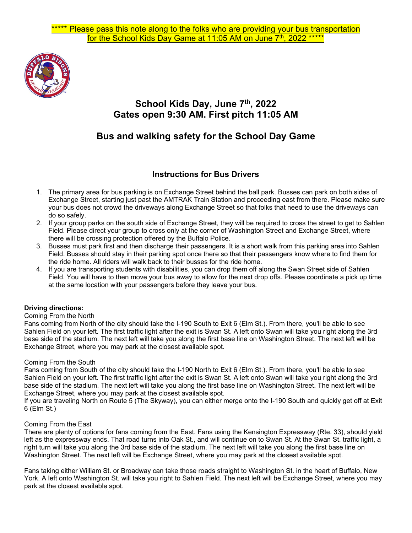

## **School Kids Day, June 7th, 2022 Gates open 9:30 AM. First pitch 11:05 AM**

# **Bus and walking safety for the School Day Game**

### **Instructions for Bus Drivers**

- 1. The primary area for bus parking is on Exchange Street behind the ball park. Busses can park on both sides of Exchange Street, starting just past the AMTRAK Train Station and proceeding east from there. Please make sure your bus does not crowd the driveways along Exchange Street so that folks that need to use the driveways can do so safely.
- 2. If your group parks on the south side of Exchange Street, they will be required to cross the street to get to Sahlen Field. Please direct your group to cross only at the corner of Washington Street and Exchange Street, where there will be crossing protection offered by the Buffalo Police.
- 3. Busses must park first and then discharge their passengers. It is a short walk from this parking area into Sahlen Field. Busses should stay in their parking spot once there so that their passengers know where to find them for the ride home. All riders will walk back to their busses for the ride home.
- 4. If you are transporting students with disabilities, you can drop them off along the Swan Street side of Sahlen Field. You will have to then move your bus away to allow for the next drop offs. Please coordinate a pick up time at the same location with your passengers before they leave your bus.

#### **Driving directions:**

#### Coming From the North

Fans coming from North of the city should take the I-190 South to Exit 6 (Elm St.). From there, you'll be able to see Sahlen Field on your left. The first traffic light after the exit is Swan St. A left onto Swan will take you right along the 3rd base side of the stadium. The next left will take you along the first base line on Washington Street. The next left will be Exchange Street, where you may park at the closest available spot.

#### Coming From the South

Fans coming from South of the city should take the I-190 North to Exit 6 (Elm St.). From there, you'll be able to see Sahlen Field on your left. The first traffic light after the exit is Swan St. A left onto Swan will take you right along the 3rd base side of the stadium. The next left will take you along the first base line on Washington Street. The next left will be Exchange Street, where you may park at the closest available spot.

If you are traveling North on Route 5 (The Skyway), you can either merge onto the I-190 South and quickly get off at Exit 6 (Elm St.)

#### Coming From the East

There are plenty of options for fans coming from the East. Fans using the Kensington Expressway (Rte. 33), should yield left as the expressway ends. That road turns into Oak St., and will continue on to Swan St. At the Swan St. traffic light, a right turn will take you along the 3rd base side of the stadium. The next left will take you along the first base line on Washington Street. The next left will be Exchange Street, where you may park at the closest available spot.

Fans taking either William St. or Broadway can take those roads straight to Washington St. in the heart of Buffalo, New York. A left onto Washington St. will take you right to Sahlen Field. The next left will be Exchange Street, where you may park at the closest available spot.